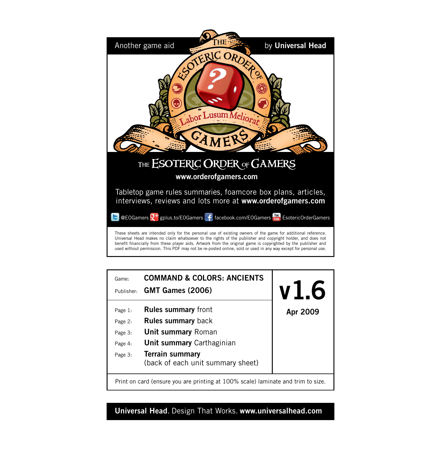



**Universal Head**. Design That Works. **www.universalhead.com**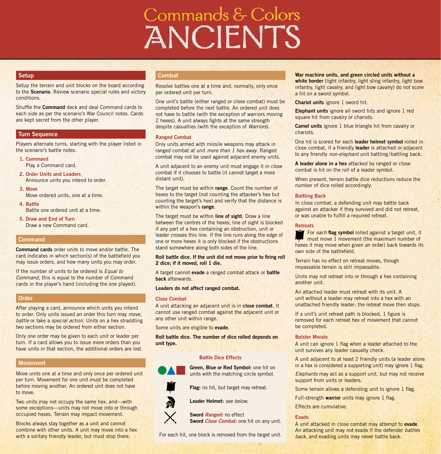# Commands & Colors **ANCIENTS**

#### **Setup**

Setup the terrain and unit blocks on the board according to the **Scenario**. Review scenario special rules and victory conditions.

Shuffle the **Command** deck and deal Command cards to each side as per the scenario's War Council notes. Cards are kept secret from the other player.

#### **Turn Sequence**

Players alternate turns, starting with the player listed in the scenario's battle notes.

**1. Command** Play a Command card.

- **2. Order Units and Leaders**  Announce units you intend to order.
- **3. Move** Move ordered units, one at a time.
- **4. Battle** Battle one ordered unit at a time.
- **5. Draw and End of Turn** Draw a new Command card.

#### **Command**

**Command cards** order units to move and/or battle. The card indicates in which section(s) of the battlefield you may issue orders, and how many units you may order.

If the number of units to be ordered is *Equal to Command*, this is equal to the number of Command cards in the player's hand (including the one played).

#### **Order**

After playing a card, announce which units you intend to order. Only units issued an order this turn may *move*, *battle* or take a *special action*. Units on a hex straddling two sections may be ordered from either section.

Only one order may be given to each unit or leader per turn. If a card allows you to issue more orders than you have units in that section, the additional orders are lost.

#### **Movement**

Move units one at a time and only once per ordered unit per turn. Movement for one unit must be completed before moving another. An ordered unit does not have to move.

Two units may not occupy the same hex, and—with some exceptions—units may not move into or through occupied hexes. Terrain may impact movement.

Blocks always stay together as a unit and cannot combine with other units. A unit may move into a hex with a solitary friendly leader, but must stop there.

#### **Combat**

Resolve battles one at a time and, normally, only once per ordered unit per turn.

One unit's battle (either ranged or close combat) must be completed before the next battle. An ordered unit does not have to battle (with the exception of warriors moving 2 hexes). A unit always fights at the same strength despite casualties (with the exception of *Warriors*).

#### **Ranged Combat**

Only units armed with missile weapons may attack in ranged combat at unit *more than 1 hex away*. Ranged combat may not be used against adjacent enemy units.

A unit adjacent to an enemy unit must engage it in close combat if it chooses to battle (it cannot target a more distant unit).

The target must be within **range**. Count the number of hexes to the target (not counting the attacker's hex but counting the target's hex) and verify that the distance is within the weapon's **range**.

The target must be within **line of sight**. Draw a line between the centres of the hexes; line of sight is blocked if any part of a hex containing an obstruction, unit or leader crosses this line. If the line runs along the edge of one or more hexes it is only blocked if the obstructions stand somewhere along both sides of the line.

#### **Roll battle dice. If the unit did not move prior to firing roll 2 dice; if it moved, roll 1 die.**

A target cannot **evade** a ranged combat attack or **battle back** afterwards.

#### **Leaders do not affect ranged combat.**

#### **Close Combat**

A unit attacking an adjacent unit is in **close combat**. It cannot use ranged combat against the adjacent unit or any other unit within range.

Some units are eligible to **evade**.

**Roll battle dice. The number of dice rolled depends on unit type.**

#### **Battle Dice Effects**



**Flag:** no hit, but target may retreat.

**Leader Helmet:** *see below.*

**Sword** *Ranged:* no effect **Sword** *Close Combat:* one hit on any unit.

For each hit, one block is removed from the target unit.

#### **War machine units, and green circled units without a white border** (light infantry, light sling infantry, light bow infantry, light cavalry, and light bow cavalry) do not score a hit on a sword symbol.

**Chariot units** ignore 1 sword hit.

**Elephant units** ignore all sword hits and ignore 1 red square hit from cavalry or chariots.

**Camel units** ignore 1 blue triangle hit from cavalry or chariots.

One hit is scored for each **leader helmet symbol** rolled in close combat, if a friendly **leader** is attached *or* adjacent to any friendly *non-elephant* unit battling /battling back.

**A leader alone in a hex** attacked by ranged or close combat is hit on the roll of a leader symbol.

When present, terrain battle dice reductions reduce the number of dice rolled accordingly.

#### **Battling Back**

In close combat, a defending unit may battle back against an attacker if they survived and did not retreat, or was unable to fulfill a required retreat.

#### **Retreats**

For *each* **flag symbol** rolled against a target unit, it must move 1 movement (the maximum number of hexes it may move when given an order) back towards its own side of the battlefield.

Terrain has no effect on retreat moves, though impassable terrain is still impassable.

Units may not retreat into or through a hex containing another unit.

An attached leader must retreat with its unit. A unit without a leader may retreat into a hex with an unattached friendly leader; the retreat move then stops.

If a unit's unit retreat path is blocked, 1 figure is removed for each retreat hex of movement that cannot be completed.

#### **Bolster Morale**

A unit can ignore 1 flag when a leader attached to the unit survives any leader casualty check.

A unit adjacent to at least 2 friendly units (a leader alone in a hex is considered a supporting unit) may ignore 1 flag.

*Elephants* may act as a support unit, but may not receive support from units or leaders.

Some terrain allows a defending unit to ignore 1 flag.

Full-strength **warrior** units may ignore 1 flag.

Effects are cumulative.

#### **Evade**

A unit attacked in close combat may attempt to **evade**. An attacking unit may not evade if the defender *battles back*, and evading units may never battle back.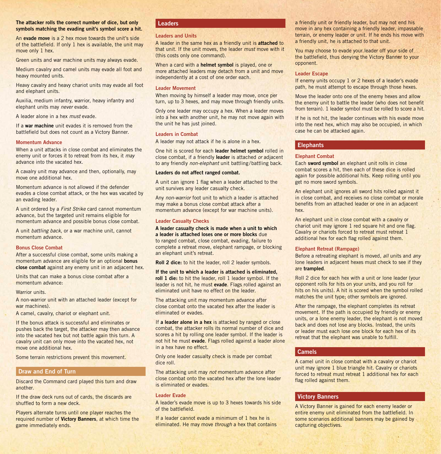#### **The attacker rolls the correct number of dice, but only symbols matching the evading unit's symbol score a hit.**

An **evade move** is a 2 hex move towards the unit's side of the battlefield. If only 1 hex is available, the unit may move only 1 hex.

Green units and war machine units may always evade.

Medium cavalry and camel units may evade all foot and heavy mounted units.

Heavy cavalry and heavy chariot units may evade all foot and elephant units.

Auxilia, medium infantry, warrior, heavy infantry and elephant units may *never* evade.

A leader alone in a hex *must* evade.

If a **war machine** unit evades it is removed from the battlefield but does not count as a Victory Banner.

#### **Momentum Advance**

When a unit attacks in close combat and eliminates the enemy unit or forces it to retreat from its hex, it *may* advance into the vacated hex.

A cavalry unit may advance and then, optionally, may move one additional hex.

Momentum advance is not allowed if the defender evades a close combat attack, or the hex was vacated by an evading leader.

A unit ordered by a *First Strike* card cannot momentum advance, but the targeted unit remains eligible for momentum advance and possible bonus close combat.

A unit *battling back*, or a war machine unit, cannot momentum advance.

#### **Bonus Close Combat**

After a successful close combat, some units making a momentum advance are eligible for an optional **bonus close combat** against any enemy unit in an adjacent hex.

Units that can make a bonus close combat after a momentum advance:

#### Warrior units.

A non-warrior unit with an attached leader (except for war machines).

A camel, cavalry, chariot or elephant unit.

If the bonus attack is successful and eliminates or pushes back the target, the attacker may then advance into the vacated hex but not battle again this turn. A cavalry unit can only move into the vacated hex, not move one additional hex.

Some terrain restrictions prevent this movement.

#### **Draw and End of Turn**

Discard the Command card played this turn and draw another.

If the draw deck runs out of cards, the discards are shuffled to form a new deck.

Players alternate turns until one player reaches the required number of **Victory Banners**, at which time the game immediately ends.

#### **Leaders**

#### **Leaders and Units**

A leader in the same hex as a friendly unit is **attached** to that unit. If the unit moves, the leader *must* move with it (this costs only one command).

When a card with a **helmet symbol** is played, one or more attached leaders may detach from a unit and move independently at a cost of one order each.

#### **Leader Movement**

When moving by himself a leader may move, once per turn, up to 3 hexes, and may move through friendly units.

Only one leader may occupy a hex. When a leader moves into a hex with another unit, he may not move again with the unit he has just joined.

#### **Leaders in Combat**

A leader may not attack if he is alone in a hex.

One hit is scored for each **leader helmet symbol** rolled in close combat, if a friendly **leader** is attached *or* adjacent to any friendly *non-elephant* unit battling /battling back.

#### **Leaders do not affect ranged combat.**

A unit can ignore 1 flag when a leader attached to the unit survives any leader casualty check.

Any *non-warrior* foot unit to which a leader is attached may make a bonus close combat attack after a momentum advance (except for war machine units).

#### **Leader Casualty Checks**

**A leader casualty check is made when a unit to which a leader is attached loses one or more blocks** due to ranged combat, close combat, evading, failure to complete a retreat move, elephant rampage, or blocking an elephant unit's retreat.

**Roll 2 dice:** to hit the leader, roll 2 leader symbols.

**If the unit to which a leader is attached is eliminated, roll 1 die:** to hit the leader, roll 1 leader symbol. If the leader is not hit, he must **evade**. Flags rolled against an eliminated unit have no effect on the leader.

The attacking unit may momentum advance after close combat onto the vacated hex after the leader is eliminated or evades.

If **a leader alone in a hex** is attacked by ranged or close combat, the attacker rolls its normal number of dice and scores a hit by rolling one leader symbol. If the leader is not hit he must **evade**. Flags rolled against a leader alone in a hex have no effect.

Only one leader casualty check is made per combat dice roll.

The attacking unit may *not* momentum advance after close combat onto the vacated hex after the lone leader is eliminated or evades.

#### **Leader Evade**

A leader's evade move is up to 3 hexes towards his side of the battlefield.

If a leader cannot evade a minimum of 1 hex he is eliminated. He may move *through* a hex that contains a friendly unit or friendly leader, but may not end his move in any hex containing a friendly leader, impassable terrain, or enemy leader or unit. If he ends his move with a friendly unit, he is attached to that unit.

You may choose to evade your leader off your side of the battlefield, thus denying the Victory Banner to your opponent.

#### **Leader Escape**

If enemy units occupy 1 or 2 hexes of a leader's evade path, he must attempt to escape through those hexes.

Move the leader onto one of the enemy hexes and allow the enemy unit to battle the leader (who does not benefit from terrain). 1 leader symbol must be rolled to score a hit.

If he is not hit, the leader continues with his evade move into the next hex, which may also be occupied, in which case he can be attacked again.

#### **Elephants**

#### **Elephant Combat**

Each **sword symbol** an elephant unit rolls in close combat scores a hit, then each of these dice is rolled again for possible additional hits. Keep rolling until you get no more sword symbols.

An elephant unit ignores all sword hits rolled against it in close combat, and receives no close combat or morale benefits from an attached leader or one in an adjacent hex.

An elephant unit in close combat with a cavalry or chariot unit may ignore 1 red square hit and one flag. Cavalry or chariots forced to retreat must retreat 1 additional hex for each flag rolled against them.

#### **Elephant Retreat (Rampage)**

Before a retreating elephant is moved, *all* units and *any* lone leaders in adjacent hexes must check to see if they are **trampled**.

Roll 2 dice for each hex with a unit or lone leader (your opponent rolls for hits on your units, and you roll for hits on his units). A hit is scored when the symbol rolled matches the unit type; other symbols are ignored.

After the rampage, the elephant completes its retreat movement. If the path is occupied by friendly or enemy units, or a lone enemy leader, the elephant is not moved back and does not lose any blocks. Instead, the units or leader must each lose one block for each hex of its retreat that the elephant was unable to fulfill.

#### **Camels**

A camel unit in close combat with a cavalry or chariot unit may ignore 1 blue triangle hit. Cavalry or chariots forced to retreat must retreat 1 additional hex for each flag rolled against them.

#### **Victory Banners**

A Victory Banner is gained for each enemy leader or entire enemy unit eliminated from the battlefield. In some scenarios additional banners may be gained by capturing objectives.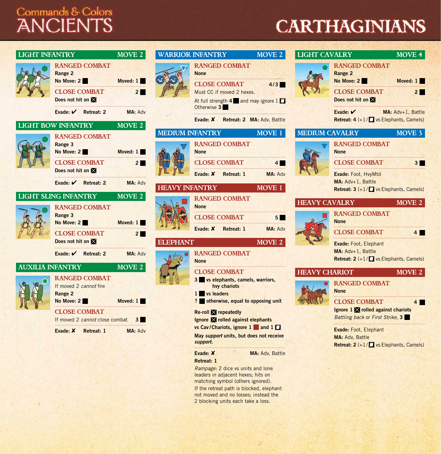# Commands & Colors<br>ANCIENTS

# **CARTHAGINIANS**

. . . . . . . . . . . .

| <b>LIGHT INFANTRY</b>   | <b>RANGED COMBAT</b><br>Range 2<br>No Move: 2<br><b>CLOSE COMBAT</b><br>Does not hit on   | MOVE 2<br>Moved: 1<br>2 <sup>1</sup> |                        | <b>WARRIOR INFANTRY</b><br><b>RANGED COMBAT</b><br><b>None</b><br><b>CLOSE COMBAT</b><br>Must CC if moved 2 hexes.<br>At full strength 4 and may ignore 1<br>Otherwise 3                    | MOVE 2<br>4/3                                    | <b>LIGHT CAVALRY</b>  | <b>RANGED COMBAT</b><br>Range 2<br>No Move: 2<br><b>CLOSE COMBAT</b><br>Does not hit on $\boxtimes$   | <b>MOVE 4</b><br>Moved: 1<br>2 <sup>1</sup> |
|-------------------------|-------------------------------------------------------------------------------------------|--------------------------------------|------------------------|---------------------------------------------------------------------------------------------------------------------------------------------------------------------------------------------|--------------------------------------------------|-----------------------|-------------------------------------------------------------------------------------------------------|---------------------------------------------|
|                         | Evade: $\mathcal V$ Retreat: 2<br><b>LIGHT BOW INFANTRY</b>                               | MA: Adv<br>MOVE 2                    |                        | Evade: X Retreat: 2 MA: Adv, Battle                                                                                                                                                         |                                                  |                       | Evade: $V$<br>Retreat: 4 (+1/ <sup>m</sup> vs Elephants, Camels)                                      | MA: Adv+1, Battle                           |
|                         | <b>RANGED COMBAT</b><br>Range 3<br>No Move: 2<br><b>CLOSE COMBAT</b><br>Does not hit on X | Moved: 1<br>$2 \blacksquare$         | <b>MEDIUM INFANTRY</b> | <b>RANGED COMBAT</b><br><b>None</b><br><b>CLOSE COMBAT</b><br>Evade: X Retreat: 1                                                                                                           | MOVE 1<br>$\overline{4}$<br>MA: Adv              | <b>MEDIUM CAVALRY</b> | <b>RANGED COMBAT</b><br><b>None</b><br><b>CLOSE COMBAT</b><br>Evade: Foot, HvyMtd                     | MOVE 3<br>3 <sup>1</sup>                    |
|                         | Evade: $\mathcal V$ Retreat: 2<br><b>LIGHT SLING INFANTRY</b><br><b>RANGED COMBAT</b>     | MA: Adv<br>MOVE 2                    | <b>HEAVY INFANTRY</b>  | <b>RANGED COMBAT</b><br><b>None</b>                                                                                                                                                         | MOVE 1                                           | <b>HEAVY CAVALRY</b>  | MA: Adv+1, Battle<br><b>Retreat: 3</b> $(+1)$ vs Elephants, Camels)                                   | MOVE 2                                      |
|                         | Range 3<br>No Move: 2<br><b>CLOSE COMBAT</b><br>Does not hit on $\boxtimes$               | Moved: 1<br>2 <sup>1</sup>           | <b>ELEPHANT</b>        | <b>CLOSE COMBAT</b><br>Evade: X<br>Retreat: 1                                                                                                                                               | $5 \blacksquare$<br>MA: Adv<br>MOVE <sub>2</sub> |                       | <b>RANGED COMBAT</b><br><b>None</b><br><b>CLOSE COMBAT</b>                                            | 4 <sup>1</sup>                              |
|                         | Evade: V Retreat: 2                                                                       | MA: Adv                              |                        | <b>RANGED COMBAT</b><br><b>None</b>                                                                                                                                                         |                                                  |                       | Evade: Foot, Elephant<br>MA: Adv+1, Battle<br><b>Retreat: 2</b> $(+1/\sqrt{2})$ vs Elephants, Camels) |                                             |
| <b>AUXILIA INFANTRY</b> | <b>RANGED COMBAT</b><br>If moved 2 cannot fire<br>Range 2                                 | MOVE 2                               |                        | <b>CLOSE COMBAT</b><br>3 vs elephants, camels, warriors,<br>hvy chariots<br>1 vs leaders                                                                                                    |                                                  | <b>HEAVY CHARIOT</b>  | <b>RANGED COMBAT</b><br><b>None</b>                                                                   | MOVE 2                                      |
|                         | No Move: 2<br><b>CLOSE COMBAT</b><br>If moved 2 cannot close combat 3                     | Moved: 1                             |                        | ? otherwise, equal to opposing unit<br><b>Re-roll X</b> repeatedly<br>Ignore applied against elephants                                                                                      |                                                  |                       | <b>CLOSE COMBAT</b><br>Ignore 1 X rolled against chariots<br>Battling back or First Strike, 3         | 4 <sup>1</sup>                              |
|                         | Evade: X Retreat: 1                                                                       | MA: Adv                              |                        | vs Cav/Chariots, ignore 1 and 1<br>May support units, but does not receive<br>support.<br>Evade: X<br>Retreat: 1<br>Rampage: 2 dice vs units and lone<br>leaders in adjacent hexes; hits on | MA: Adv, Battle                                  |                       | Evade: Foot, Elephant<br>MA: Adv, Battle<br><b>Retreat: 2</b> $(+1/\sqrt{2})$ vs Elephants, Camels)   |                                             |

matching symbol (others ignored). If the retreat path is blocked, elephant not moved and no losses; instead the 2 blocking units each take a loss.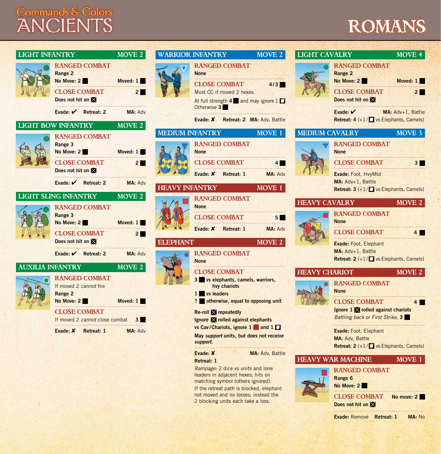# Commands & Colors<br>ANCIENTS

# **ROMANS**

| <b>LIGHT INFANTRY</b>                          |                                                                                                                                    | MOVE <sub>2</sub>                       |                                         | <b>WARRIOR INFANTRY</b>                                                                                                                                                                                                                                          | <b>MOVE 2</b>                       | <b>LIGHT CAVALRY</b>                   |                                                                                                                                                                                                             | <b>MOVE 4</b>              |  |
|------------------------------------------------|------------------------------------------------------------------------------------------------------------------------------------|-----------------------------------------|-----------------------------------------|------------------------------------------------------------------------------------------------------------------------------------------------------------------------------------------------------------------------------------------------------------------|-------------------------------------|----------------------------------------|-------------------------------------------------------------------------------------------------------------------------------------------------------------------------------------------------------------|----------------------------|--|
|                                                | <b>RANGED COMBAT</b><br>Range 2<br>No Move: 2<br><b>CLOSE COMBAT</b><br>Does not hit on<br>Evade: ✔ Retreat: 2                     | Moved: 1<br>$2 \blacksquare$<br>MA: Adv |                                         | <b>RANGED COMBAT</b><br><b>None</b><br><b>CLOSE COMBAT</b><br>Must CC if moved 2 hexes.<br>At full strength 4 and may ignore 1<br>Otherwise 3                                                                                                                    | 4/3                                 |                                        | <b>RANGED COMBAT</b><br>Range 2<br>No Move: 2<br><b>CLOSE COMBAT</b><br>Does not hit on<br>Evade: $V$<br>MA: Adv+1, Battle                                                                                  | Moved: 1<br>2 <sup>1</sup> |  |
|                                                |                                                                                                                                    |                                         |                                         | Evade: X<br>Retreat: 2 MA: Adv, Battle                                                                                                                                                                                                                           |                                     |                                        | <b>Retreat: 4 <math>(+1)</math> Vs Elephants, Camels)</b>                                                                                                                                                   |                            |  |
| <b>LIGHT BOW INFANTRY</b><br>MOVE <sub>2</sub> |                                                                                                                                    |                                         | <b>MEDIUM INFANTRY</b><br><b>MOVE 1</b> |                                                                                                                                                                                                                                                                  |                                     | <b>MEDIUM CAVALRY</b><br><b>MOVE 3</b> |                                                                                                                                                                                                             |                            |  |
|                                                | <b>RANGED COMBAT</b><br>Range 3<br>No Move: 2<br><b>CLOSE COMBAT</b><br>Does not hit on X<br>Evade: V Retreat: 2                   | Moved: 1<br>$2 \blacksquare$<br>MA: Adv |                                         | <b>RANGED COMBAT</b><br><b>None</b><br><b>CLOSE COMBAT</b><br>Evade: X<br>Retreat: 1                                                                                                                                                                             | 4 <sup>1</sup><br>MA: Adv           | <b>HEAVY CAVALRY</b>                   | <b>RANGED COMBAT</b><br><b>None</b><br><b>CLOSE COMBAT</b><br>Evade: Foot, HvyMtd<br>MA: Adv+1, Battle                                                                                                      | 3 <sup>1</sup>             |  |
|                                                |                                                                                                                                    |                                         | HEAVY INFANTRY                          |                                                                                                                                                                                                                                                                  | MOVE 1                              |                                        | <b>Retreat: 3</b> $(+1)$ $\begin{bmatrix} 1 \\ 2 \end{bmatrix}$ vs Elephants, Camels)                                                                                                                       |                            |  |
|                                                | <b>LIGHT SLING INFANTRY</b><br><b>RANGED COMBAT</b><br>Range 3<br>No Move: 2<br><b>CLOSE COMBAT</b><br>Does not hit on $\boxtimes$ | MOVE 2<br>Moved: 1<br>$2 \blacksquare$  | ELEPHANT                                | <b>RANGED COMBAT</b><br><b>None</b><br><b>CLOSE COMBAT</b><br>Evade: X<br>Retreat: 1                                                                                                                                                                             | 5 <sub>1</sub><br>MA: Adv<br>MOVE 2 |                                        | <b>RANGED COMBAT</b><br><b>None</b><br><b>CLOSE COMBAT</b><br>Evade: Foot, Elephant                                                                                                                         | MOVE 2<br>4 <sup>1</sup>   |  |
|                                                | Evade: V Retreat: 2                                                                                                                | MA: Adv                                 |                                         | <b>RANGED COMBAT</b><br><b>None</b>                                                                                                                                                                                                                              |                                     |                                        | MA: Adv+1, Battle<br><b>Retreat: 2</b> $(+1)$ $\begin{bmatrix} 1 \\ 2 \end{bmatrix}$ vs Elephants, Camels)                                                                                                  |                            |  |
| <b>AUXILIA INFANTRY</b>                        |                                                                                                                                    | MOVE 2                                  |                                         | <b>CLOSE COMBAT</b>                                                                                                                                                                                                                                              |                                     | <b>HEAVY CHARIOT</b>                   |                                                                                                                                                                                                             | MOVE 2                     |  |
|                                                | <b>RANGED COMBAT</b><br>If moved 2 cannot fire<br>Range 2<br>No Move: 2                                                            | Moved: 1                                |                                         | 3 vs elephants, camels, warriors,<br>hvy chariots<br>1 vs leaders<br>? otherwise, equal to opposing unit                                                                                                                                                         |                                     |                                        | <b>RANGED COMBAT</b><br><b>None</b><br><b>CLOSE COMBAT</b>                                                                                                                                                  | 4                          |  |
|                                                | <b>CLOSE COMBAT</b><br>If moved 2 cannot close combat<br>Evade: X<br>Retreat: 1                                                    | 3 <sup>1</sup><br>MA: Adv               |                                         | <b>Re-roll X</b> repeatedly<br>Ignore applied against elephants<br>vs Cav/Chariots, ignore 1 and 1<br>May support units, but does not receive<br>support.                                                                                                        |                                     |                                        | Ignore 1 X rolled against chariots<br>Battling back or First Strike, 3<br>Evade: Foot, Elephant<br>MA: Adv, Battle<br><b>Retreat: 2</b> $(+1)$ $\begin{bmatrix} 1 \\ 2 \end{bmatrix}$ vs Elephants, Camels) |                            |  |
|                                                |                                                                                                                                    |                                         |                                         | Evade: X<br>Retreat: 1<br>Rampage: 2 dice vs units and lone<br>leaders in adjacent hexes; hits on<br>matching symbol (others ignored).<br>If the retreat path is blocked, elephant<br>not moved and no losses; instead the<br>2 blocking units each take a loss. | MA: Adv, Battle                     |                                        | <b>HEAVY WAR MACHINE</b><br><b>RANGED COMBAT</b><br>Range 6<br>No Move: 2<br><b>CLOSE COMBAT</b><br>No move: 2<br>Does not hit on                                                                           | MOVE 1                     |  |

**Evade:** Remove **Retreat: 1 MA:** No